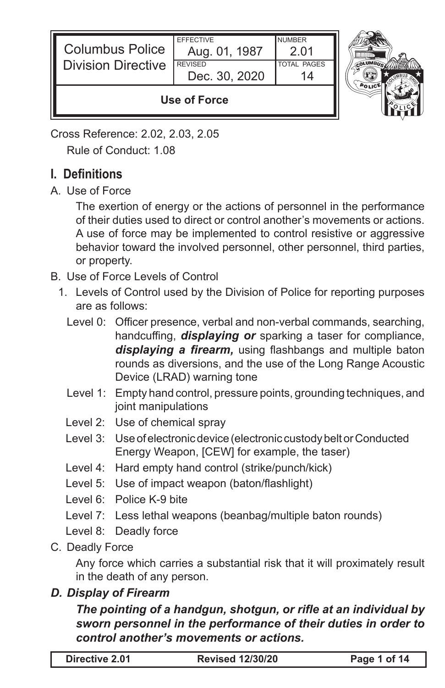| <b>Columbus Police</b><br><b>Division Directive</b> | <b>FFFFCTIVE</b><br>Aug. 01, 1987<br><b>REVISED</b><br>Dec. 30, 2020 | <b>NUMBER</b><br>-2.01<br><b>TOTAL PAGES</b> |  |
|-----------------------------------------------------|----------------------------------------------------------------------|----------------------------------------------|--|
| Use of Force                                        |                                                                      |                                              |  |

Cross Reference: 2.02, 2.03, 2.05 Rule of Conduct: 1.08

# **I. Definitions**

A. Use of Force

The exertion of energy or the actions of personnel in the performance of their duties used to direct or control another's movements or actions. A use of force may be implemented to control resistive or aggressive behavior toward the involved personnel, other personnel, third parties, or property.

- B. Use of Force Levels of Control
	- 1. Levels of Control used by the Division of Police for reporting purposes are as follows:
		- Level 0: Officer presence, verbal and non-verbal commands, searching, handcuffing, *displaying or* sparking a taser for compliance, *displaying a firearm,* using flashbangs and multiple baton rounds as diversions, and the use of the Long Range Acoustic Device (LRAD) warning tone
		- Level 1: Empty hand control, pressure points, grounding techniques, and joint manipulations
		- Level 2: Use of chemical spray
		- Level 3: Use of electronic device (electronic custody belt or Conducted Energy Weapon, [CEW] for example, the taser)
		- Level 4: Hard empty hand control (strike/punch/kick)
		- Level 5: Use of impact weapon (baton/flashlight)
		- Level 6: Police K-9 bite
		- Level 7: Less lethal weapons (beanbag/multiple baton rounds)

Level 8: Deadly force

C. Deadly Force

Any force which carries a substantial risk that it will proximately result in the death of any person.

### *D. Display of Firearm*

#### *The pointing of a handgun, shotgun, or rifle at an individual by sworn personnel in the performance of their duties in order to control another's movements or actions.*

| Directive 2.01 | <b>Revised 12/30/20</b> | Page 1 of 14 |
|----------------|-------------------------|--------------|
|                |                         |              |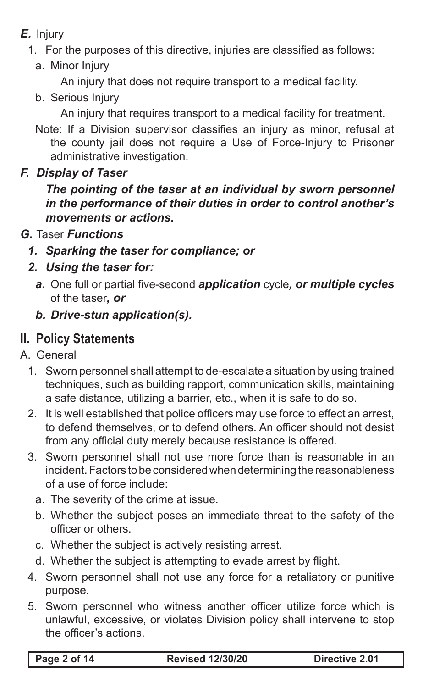- *E.* Injury
	- 1. For the purposes of this directive, injuries are classified as follows:
		- a. Minor Injury

An injury that does not require transport to a medical facility.

b. Serious Injury

An injury that requires transport to a medical facility for treatment.

Note: If a Division supervisor classifies an injury as minor, refusal at the county jail does not require a Use of Force-Injury to Prisoner administrative investigation.

### *F. Display of Taser*

*The pointing of the taser at an individual by sworn personnel in the performance of their duties in order to control another's movements or actions.*

- *G.* Taser *Functions* 
	- *1. Sparking the taser for compliance; or*
	- *2. Using the taser for:*
		- *a.* One full or partial five-second *application* cycle*, or multiple cycles* of the taser*, or*
		- *b. Drive-stun application(s).*

# **II. Policy Statements**

- A. General
	- 1. Sworn personnel shall attempt to de-escalate a situation by using trained techniques, such as building rapport, communication skills, maintaining a safe distance, utilizing a barrier, etc., when it is safe to do so.
	- 2. It is well established that police officers may use force to effect an arrest, to defend themselves, or to defend others. An officer should not desist from any official duty merely because resistance is offered.
	- 3. Sworn personnel shall not use more force than is reasonable in an incident. Factors to be considered when determining the reasonableness of a use of force include:
		- a. The severity of the crime at issue.
		- b. Whether the subject poses an immediate threat to the safety of the officer or others.
		- c. Whether the subject is actively resisting arrest.
		- d. Whether the subject is attempting to evade arrest by flight.
	- 4. Sworn personnel shall not use any force for a retaliatory or punitive purpose.
	- 5. Sworn personnel who witness another officer utilize force which is unlawful, excessive, or violates Division policy shall intervene to stop the officer's actions.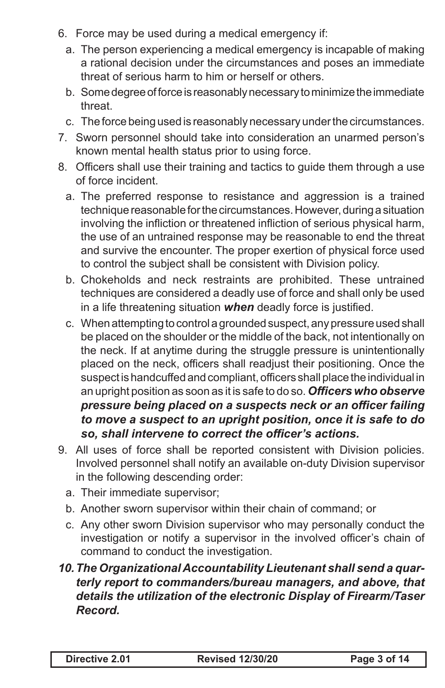- 6. Force may be used during a medical emergency if:
	- a. The person experiencing a medical emergency is incapable of making a rational decision under the circumstances and poses an immediate threat of serious harm to him or herself or others.
	- b. Some degree of force is reasonably necessary to minimize the immediate threat.
	- c. The force being used is reasonably necessary under the circumstances.
- 7. Sworn personnel should take into consideration an unarmed person's known mental health status prior to using force.
- 8. Officers shall use their training and tactics to guide them through a use of force incident.
	- a. The preferred response to resistance and aggression is a trained technique reasonable for the circumstances. However, during a situation involving the infliction or threatened infliction of serious physical harm, the use of an untrained response may be reasonable to end the threat and survive the encounter. The proper exertion of physical force used to control the subject shall be consistent with Division policy.
	- b. Chokeholds and neck restraints are prohibited. These untrained techniques are considered a deadly use of force and shall only be used in a life threatening situation *when* deadly force is justified.
	- c. When attempting to control a grounded suspect, any pressure used shall be placed on the shoulder or the middle of the back, not intentionally on the neck. If at anytime during the struggle pressure is unintentionally placed on the neck, officers shall readjust their positioning. Once the suspect is handcuffed and compliant, officers shall place the individual in an upright position as soon as it is safe to do so. *Officers who observe pressure being placed on a suspects neck or an officer failing to move a suspect to an upright position, once it is safe to do so, shall intervene to correct the officer's actions.*
- 9. All uses of force shall be reported consistent with Division policies. Involved personnel shall notify an available on-duty Division supervisor in the following descending order:
	- a. Their immediate supervisor;
	- b. Another sworn supervisor within their chain of command; or
	- c. Any other sworn Division supervisor who may personally conduct the investigation or notify a supervisor in the involved officer's chain of command to conduct the investigation.
- *10.The Organizational Accountability Lieutenant shall send a quarterly report to commanders/bureau managers, and above, that details the utilization of the electronic Display of Firearm/Taser Record.*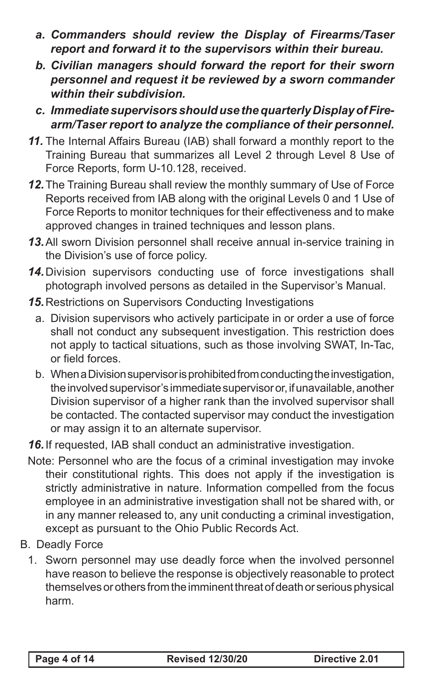- *a. Commanders should review the Display of Firearms/Taser report and forward it to the supervisors within their bureau.*
- *b. Civilian managers should forward the report for their sworn personnel and request it be reviewed by a sworn commander within their subdivision.*
- *c. Immediate supervisors should use the quarterly Display of Firearm/Taser report to analyze the compliance of their personnel.*
- *11.* The Internal Affairs Bureau (IAB) shall forward a monthly report to the Training Bureau that summarizes all Level 2 through Level 8 Use of Force Reports, form U-10.128, received.
- *12.*The Training Bureau shall review the monthly summary of Use of Force Reports received from IAB along with the original Levels 0 and 1 Use of Force Reports to monitor techniques for their effectiveness and to make approved changes in trained techniques and lesson plans.
- *13.*All sworn Division personnel shall receive annual in-service training in the Division's use of force policy.
- *14.*Division supervisors conducting use of force investigations shall photograph involved persons as detailed in the Supervisor's Manual.
- *15.*Restrictions on Supervisors Conducting Investigations
	- a. Division supervisors who actively participate in or order a use of force shall not conduct any subsequent investigation. This restriction does not apply to tactical situations, such as those involving SWAT, In-Tac, or field forces.
	- b. When a Division supervisor is prohibited from conducting the investigation, the involved supervisor's immediate supervisor or, if unavailable, another Division supervisor of a higher rank than the involved supervisor shall be contacted. The contacted supervisor may conduct the investigation or may assign it to an alternate supervisor.
- *16.*If requested, IAB shall conduct an administrative investigation.
- Note: Personnel who are the focus of a criminal investigation may invoke their constitutional rights. This does not apply if the investigation is strictly administrative in nature. Information compelled from the focus employee in an administrative investigation shall not be shared with, or in any manner released to, any unit conducting a criminal investigation, except as pursuant to the Ohio Public Records Act.
- B. Deadly Force
	- 1. Sworn personnel may use deadly force when the involved personnel have reason to believe the response is objectively reasonable to protect themselves or others from the imminent threat of death or serious physical harm.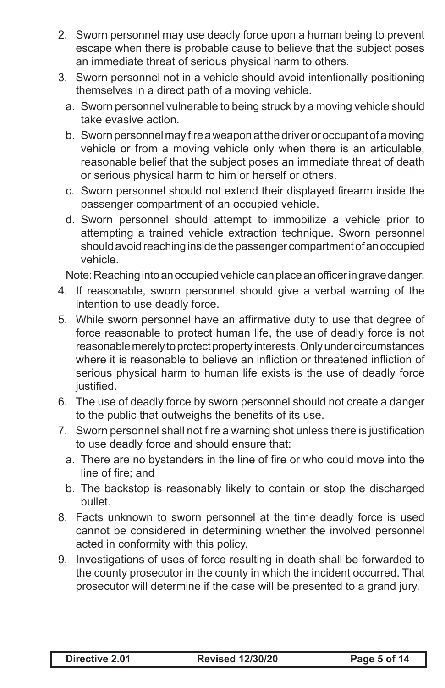- 2. Sworn personnel may use deadly force upon a human being to prevent escape when there is probable cause to believe that the subject poses an immediate threat of serious physical harm to others.
- 3. Sworn personnel not in a vehicle should avoid intentionally positioning themselves in a direct path of a moving vehicle.
	- a. Sworn personnel vulnerable to being struck by a moving vehicle should take evasive action.
	- b. Sworn personnel may fire a weapon at the driver or occupant of a moving vehicle or from a moving vehicle only when there is an articulable, reasonable belief that the subject poses an immediate threat of death or serious physical harm to him or herself or others.
	- c. Sworn personnel should not extend their displayed firearm inside the passenger compartment of an occupied vehicle.
	- d. Sworn personnel should attempt to immobilize a vehicle prior to attempting a trained vehicle extraction technique. Sworn personnel should avoid reaching inside the passenger compartment of an occupied vehicle.

Note: Reaching into an occupied vehicle can place an officer in grave danger.

- 4. If reasonable, sworn personnel should give a verbal warning of the intention to use deadly force.
- 5. While sworn personnel have an affirmative duty to use that degree of force reasonable to protect human life, the use of deadly force is not reasonable merely to protect property interests. Only under circumstances where it is reasonable to believe an infliction or threatened infliction of serious physical harm to human life exists is the use of deadly force justified.
- 6. The use of deadly force by sworn personnel should not create a danger to the public that outweighs the benefits of its use.
- 7. Sworn personnel shall not fire a warning shot unless there is justification to use deadly force and should ensure that:
	- a. There are no bystanders in the line of fire or who could move into the line of fire; and
	- b. The backstop is reasonably likely to contain or stop the discharged bullet.
- 8. Facts unknown to sworn personnel at the time deadly force is used cannot be considered in determining whether the involved personnel acted in conformity with this policy.
- 9. Investigations of uses of force resulting in death shall be forwarded to the county prosecutor in the county in which the incident occurred. That prosecutor will determine if the case will be presented to a grand jury.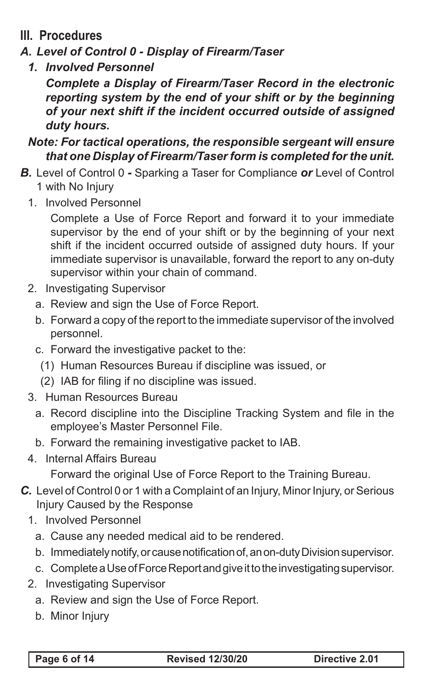# **III. Procedures**

- *A. Level of Control 0 Display of Firearm/Taser*
	- *1. Involved Personnel*

*Complete a Display of Firearm/Taser Record in the electronic reporting system by the end of your shift or by the beginning of your next shift if the incident occurred outside of assigned duty hours.*

#### *Note: For tactical operations, the responsible sergeant will ensure that one Display of Firearm/Taser form is completed for the unit.*

- *B.* Level of Control 0 *-* Sparking a Taser for Compliance *or* Level of Control 1 with No Injury
	- 1. Involved Personnel

Complete a Use of Force Report and forward it to your immediate supervisor by the end of your shift or by the beginning of your next shift if the incident occurred outside of assigned duty hours. If your immediate supervisor is unavailable, forward the report to any on-duty supervisor within your chain of command.

- 2. Investigating Supervisor
	- a. Review and sign the Use of Force Report.
	- b. Forward a copy of the report to the immediate supervisor of the involved personnel.
	- c. Forward the investigative packet to the:
		- (1) Human Resources Bureau if discipline was issued, or
		- (2) IAB for filing if no discipline was issued.
- 3. Human Resources Bureau
	- a. Record discipline into the Discipline Tracking System and file in the employee's Master Personnel File.
	- b. Forward the remaining investigative packet to IAB.
- 4. Internal Affairs Bureau

Forward the original Use of Force Report to the Training Bureau.

- *C.* Level of Control 0 or 1 with a Complaint of an Injury, Minor Injury, or Serious Injury Caused by the Response
	- 1. Involved Personnel
		- a. Cause any needed medical aid to be rendered.
		- b. Immediately notify, or cause notification of, an on-duty Division supervisor.
		- c. Complete a Use of Force Report and give it to the investigating supervisor.
	- 2. Investigating Supervisor
		- a. Review and sign the Use of Force Report.
		- b. Minor Injury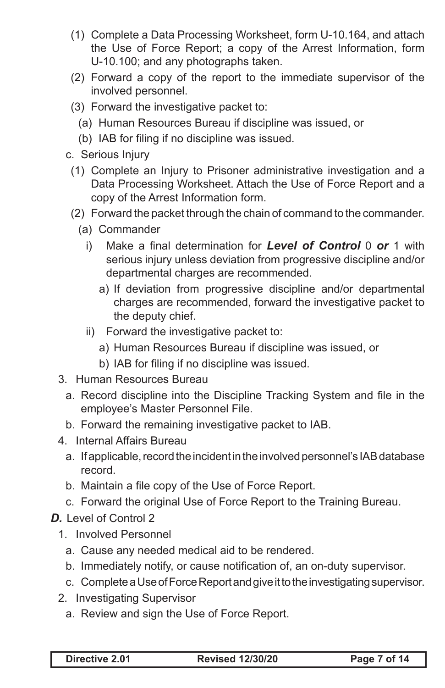- (1) Complete a Data Processing Worksheet, form U-10.164, and attach the Use of Force Report; a copy of the Arrest Information, form U-10.100; and any photographs taken.
- (2) Forward a copy of the report to the immediate supervisor of the involved personnel.
- (3) Forward the investigative packet to:
	- (a) Human Resources Bureau if discipline was issued, or
	- (b) IAB for filing if no discipline was issued.
- c. Serious Injury
	- (1) Complete an Injury to Prisoner administrative investigation and a Data Processing Worksheet. Attach the Use of Force Report and a copy of the Arrest Information form.
	- (2) Forward the packet through the chain of command to the commander.
		- (a) Commander
			- i) Make a final determination for *Level of Control* 0 *or* 1 with serious injury unless deviation from progressive discipline and/or departmental charges are recommended.
				- a) If deviation from progressive discipline and/or departmental charges are recommended, forward the investigative packet to the deputy chief.
			- ii) Forward the investigative packet to:
				- a) Human Resources Bureau if discipline was issued, or
				- b) IAB for filing if no discipline was issued.
- 3. Human Resources Bureau
	- a. Record discipline into the Discipline Tracking System and file in the employee's Master Personnel File.
	- b. Forward the remaining investigative packet to IAB.
- 4. Internal Affairs Bureau
	- a. If applicable, record the incident in the involved personnel's IAB database record.
	- b. Maintain a file copy of the Use of Force Report.
	- c. Forward the original Use of Force Report to the Training Bureau.
- *D.* Level of Control 2
	- 1. Involved Personnel
		- a. Cause any needed medical aid to be rendered.
		- b. Immediately notify, or cause notification of, an on-duty supervisor.
		- c. Complete a Use of Force Report and give it to the investigating supervisor.
	- 2. Investigating Supervisor
		- a. Review and sign the Use of Force Report.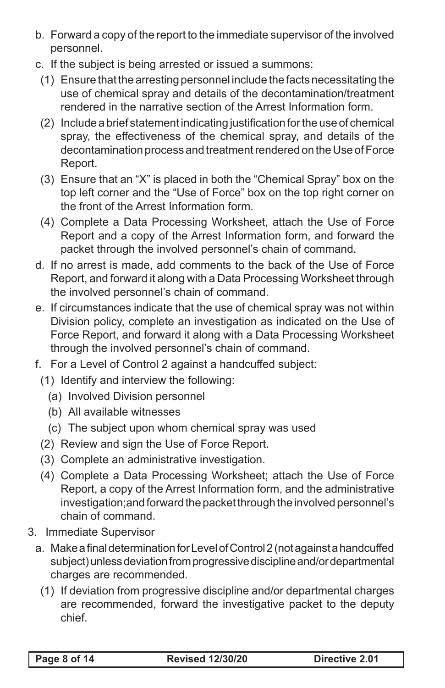- b. Forward a copy of the report to the immediate supervisor of the involved personnel.
- c. If the subject is being arrested or issued a summons:
	- (1) Ensure that the arresting personnel include the facts necessitating the use of chemical spray and details of the decontamination/treatment rendered in the narrative section of the Arrest Information form.
	- (2) Include a brief statement indicating justification for the use of chemical spray, the effectiveness of the chemical spray, and details of the decontamination process and treatment rendered on the Use of Force Report.
	- (3) Ensure that an "X" is placed in both the "Chemical Spray" box on the top left corner and the "Use of Force" box on the top right corner on the front of the Arrest Information form.
	- (4) Complete a Data Processing Worksheet, attach the Use of Force Report and a copy of the Arrest Information form, and forward the packet through the involved personnel's chain of command.
- d. If no arrest is made, add comments to the back of the Use of Force Report, and forward it along with a Data Processing Worksheet through the involved personnel's chain of command.
- e. If circumstances indicate that the use of chemical spray was not within Division policy, complete an investigation as indicated on the Use of Force Report, and forward it along with a Data Processing Worksheet through the involved personnel's chain of command.
- f. For a Level of Control 2 against a handcuffed subject:
- (1) Identify and interview the following:
	- (a) Involved Division personnel
	- (b) All available witnesses
	- (c) The subject upon whom chemical spray was used
- (2) Review and sign the Use of Force Report.
- (3) Complete an administrative investigation.
- (4) Complete a Data Processing Worksheet; attach the Use of Force Report, a copy of the Arrest Information form, and the administrative investigation;and forward the packet through the involved personnel's chain of command.
- 3. Immediate Supervisor
	- a. Make a final determination for Level of Control 2 (not against a handcuffed subject) unless deviation from progressive discipline and/or departmental charges are recommended.
		- (1) If deviation from progressive discipline and/or departmental charges are recommended, forward the investigative packet to the deputy chief.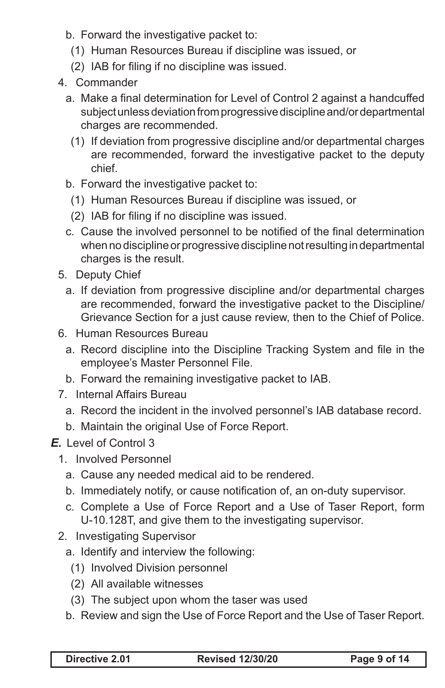- b. Forward the investigative packet to:
- (1) Human Resources Bureau if discipline was issued, or
- (2) IAB for filing if no discipline was issued.
- 4. Commander
	- a. Make a final determination for Level of Control 2 against a handcuffed subject unless deviation from progressive discipline and/or departmental charges are recommended.
		- (1) If deviation from progressive discipline and/or departmental charges are recommended, forward the investigative packet to the deputy chief.
	- b. Forward the investigative packet to:
		- (1) Human Resources Bureau if discipline was issued, or
		- (2) IAB for filing if no discipline was issued.
	- c. Cause the involved personnel to be notified of the final determination when no discipline or progressive discipline not resulting in departmental charges is the result.
- 5. Deputy Chief
	- a. If deviation from progressive discipline and/or departmental charges are recommended, forward the investigative packet to the Discipline/ Grievance Section for a just cause review, then to the Chief of Police.
- 6. Human Resources Bureau
	- a. Record discipline into the Discipline Tracking System and file in the employee's Master Personnel File.
	- b. Forward the remaining investigative packet to IAB.
- 7. Internal Affairs Bureau
	- a. Record the incident in the involved personnel's IAB database record.
	- b. Maintain the original Use of Force Report.
- *E.* Level of Control 3
	- 1. Involved Personnel
		- a. Cause any needed medical aid to be rendered.
		- b. Immediately notify, or cause notification of, an on-duty supervisor.
		- c. Complete a Use of Force Report and a Use of Taser Report, form U-10.128T, and give them to the investigating supervisor.
	- 2. Investigating Supervisor
		- a. Identify and interview the following:
			- (1) Involved Division personnel
			- (2) All available witnesses
			- (3) The subject upon whom the taser was used
		- b. Review and sign the Use of Force Report and the Use of Taser Report.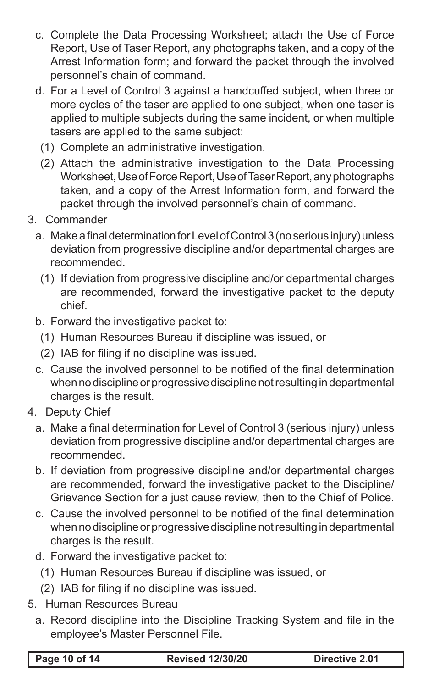- c. Complete the Data Processing Worksheet; attach the Use of Force Report, Use of Taser Report, any photographs taken, and a copy of the Arrest Information form; and forward the packet through the involved personnel's chain of command.
- d. For a Level of Control 3 against a handcuffed subject, when three or more cycles of the taser are applied to one subject, when one taser is applied to multiple subjects during the same incident, or when multiple tasers are applied to the same subject:
	- (1) Complete an administrative investigation.
	- (2) Attach the administrative investigation to the Data Processing Worksheet, Use of Force Report, Use of Taser Report, any photographs taken, and a copy of the Arrest Information form, and forward the packet through the involved personnel's chain of command.
- 3. Commander
	- a. Make a final determination for Level of Control 3 (no serious injury) unless deviation from progressive discipline and/or departmental charges are recommended.
		- (1) If deviation from progressive discipline and/or departmental charges are recommended, forward the investigative packet to the deputy chief.
	- b. Forward the investigative packet to:
		- (1) Human Resources Bureau if discipline was issued, or
		- (2) IAB for filing if no discipline was issued.
	- c. Cause the involved personnel to be notified of the final determination when no discipline or progressive discipline not resulting in departmental charges is the result.
- 4. Deputy Chief
	- a. Make a final determination for Level of Control 3 (serious injury) unless deviation from progressive discipline and/or departmental charges are recommended.
	- b. If deviation from progressive discipline and/or departmental charges are recommended, forward the investigative packet to the Discipline/ Grievance Section for a just cause review, then to the Chief of Police.
	- c. Cause the involved personnel to be notified of the final determination when no discipline or progressive discipline not resulting in departmental charges is the result.
	- d. Forward the investigative packet to:
		- (1) Human Resources Bureau if discipline was issued, or
		- (2) IAB for filing if no discipline was issued.
- 5. Human Resources Bureau
	- a. Record discipline into the Discipline Tracking System and file in the employee's Master Personnel File.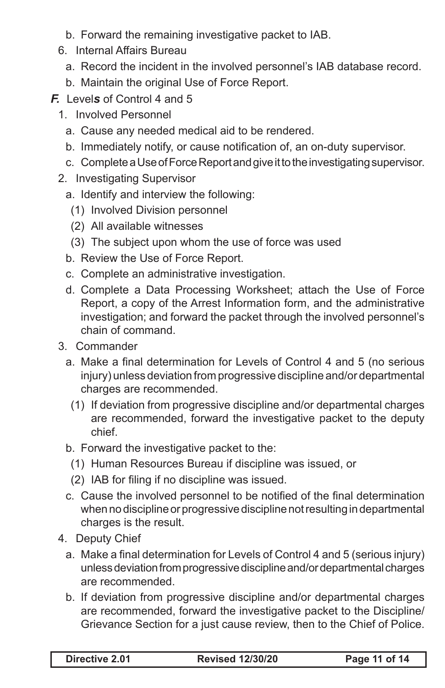- b. Forward the remaining investigative packet to IAB.
- 6. Internal Affairs Bureau
	- a. Record the incident in the involved personnel's IAB database record.
	- b. Maintain the original Use of Force Report.
- *F.* Level*s* of Control 4 and 5
	- 1. Involved Personnel
		- a. Cause any needed medical aid to be rendered.
		- b. Immediately notify, or cause notification of, an on-duty supervisor.
		- c. Complete a Use of Force Report and give it to the investigating supervisor.
	- 2. Investigating Supervisor
		- a. Identify and interview the following:
			- (1) Involved Division personnel
			- (2) All available witnesses
		- (3) The subject upon whom the use of force was used
		- b. Review the Use of Force Report.
		- c. Complete an administrative investigation.
		- d. Complete a Data Processing Worksheet; attach the Use of Force Report, a copy of the Arrest Information form, and the administrative investigation; and forward the packet through the involved personnel's chain of command.
	- 3. Commander
		- a. Make a final determination for Levels of Control 4 and 5 (no serious injury) unless deviation from progressive discipline and/or departmental charges are recommended.
		- (1) If deviation from progressive discipline and/or departmental charges are recommended, forward the investigative packet to the deputy chief.
		- b. Forward the investigative packet to the:
			- (1) Human Resources Bureau if discipline was issued, or
			- (2) IAB for filing if no discipline was issued.
		- c. Cause the involved personnel to be notified of the final determination when no discipline or progressive discipline not resulting in departmental charges is the result.
	- 4. Deputy Chief
		- a. Make a final determination for Levels of Control 4 and 5 (serious injury) unless deviation from progressive discipline and/or departmental charges are recommended.
		- b. If deviation from progressive discipline and/or departmental charges are recommended, forward the investigative packet to the Discipline/ Grievance Section for a just cause review, then to the Chief of Police.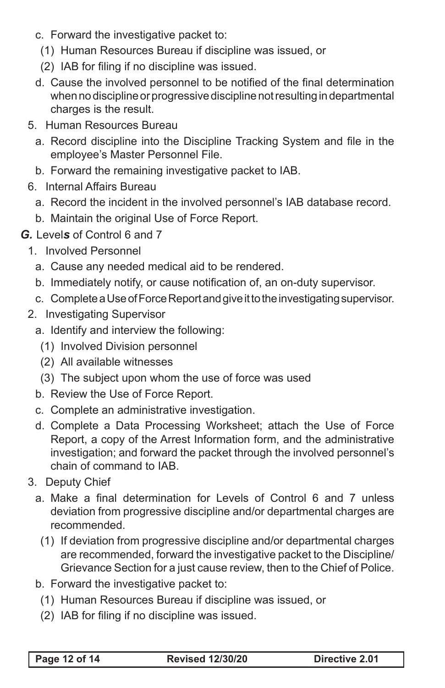- c. Forward the investigative packet to:
- (1) Human Resources Bureau if discipline was issued, or
- (2) IAB for filing if no discipline was issued.
- d. Cause the involved personnel to be notified of the final determination when no discipline or progressive discipline not resulting in departmental charges is the result.
- 5. Human Resources Bureau
	- a. Record discipline into the Discipline Tracking System and file in the employee's Master Personnel File.
	- b. Forward the remaining investigative packet to IAB.
- 6. Internal Affairs Bureau
	- a. Record the incident in the involved personnel's IAB database record.
	- b. Maintain the original Use of Force Report.
- *G.* Level*s* of Control 6 and 7
	- 1. Involved Personnel
		- a. Cause any needed medical aid to be rendered.
		- b. Immediately notify, or cause notification of, an on-duty supervisor.
		- c. Complete a Use of Force Report and give it to the investigating supervisor.
	- 2. Investigating Supervisor
		- a. Identify and interview the following:
			- (1) Involved Division personnel
			- (2) All available witnesses
			- (3) The subject upon whom the use of force was used
		- b. Review the Use of Force Report.
		- c. Complete an administrative investigation.
		- d. Complete a Data Processing Worksheet; attach the Use of Force Report, a copy of the Arrest Information form, and the administrative investigation; and forward the packet through the involved personnel's chain of command to IAB.
	- 3. Deputy Chief
		- a. Make a final determination for Levels of Control 6 and 7 unless deviation from progressive discipline and/or departmental charges are recommended.
			- (1) If deviation from progressive discipline and/or departmental charges are recommended, forward the investigative packet to the Discipline/ Grievance Section for a just cause review, then to the Chief of Police.
		- b. Forward the investigative packet to:
			- (1) Human Resources Bureau if discipline was issued, or
			- (2) IAB for filing if no discipline was issued.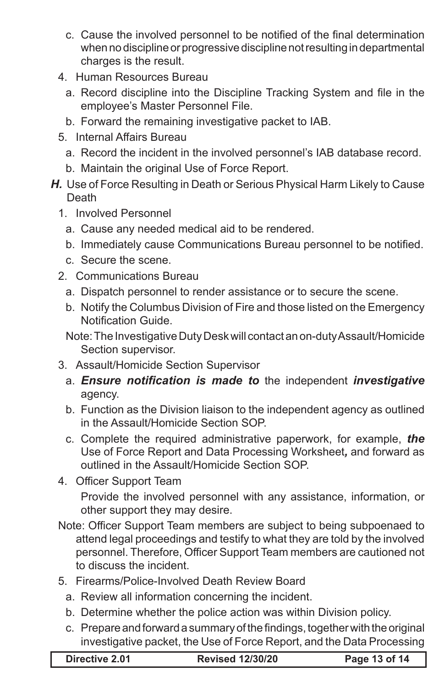- c. Cause the involved personnel to be notified of the final determination when no discipline or progressive discipline not resulting in departmental charges is the result.
- 4. Human Resources Bureau
	- a. Record discipline into the Discipline Tracking System and file in the employee's Master Personnel File.
	- b. Forward the remaining investigative packet to IAB.
- 5. Internal Affairs Bureau
	- a. Record the incident in the involved personnel's IAB database record.
	- b. Maintain the original Use of Force Report.
- *H.* Use of Force Resulting in Death or Serious Physical Harm Likely to Cause Death
	- 1. Involved Personnel
		- a. Cause any needed medical aid to be rendered.
		- b. Immediately cause Communications Bureau personnel to be notified.
		- c. Secure the scene.
	- 2. Communications Bureau
		- a. Dispatch personnel to render assistance or to secure the scene.
		- b. Notify the Columbus Division of Fire and those listed on the Emergency Notification Guide.
		- Note: The Investigative Duty Desk will contact an on-duty Assault/Homicide Section supervisor.
	- 3. Assault/Homicide Section Supervisor
		- a. *Ensure notification is made to* the independent *investigative*  agency.
		- b. Function as the Division liaison to the independent agency as outlined in the Assault/Homicide Section SOP.
		- c. Complete the required administrative paperwork, for example, *the*  Use of Force Report and Data Processing Worksheet*,* and forward as outlined in the Assault/Homicide Section SOP.
	- 4. Officer Support Team

Provide the involved personnel with any assistance, information, or other support they may desire.

- Note: Officer Support Team members are subject to being subpoenaed to attend legal proceedings and testify to what they are told by the involved personnel. Therefore, Officer Support Team members are cautioned not to discuss the incident.
- 5. Firearms/Police-Involved Death Review Board
	- a. Review all information concerning the incident.
	- b. Determine whether the police action was within Division policy.
	- c. Prepare and forward a summary of the findings, together with the original investigative packet, the Use of Force Report, and the Data Processing